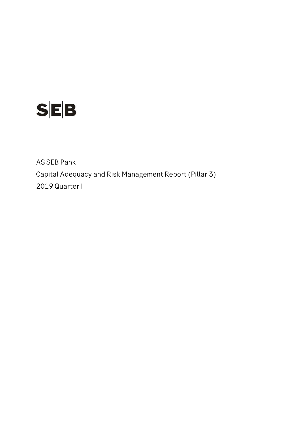

AS SEB Pank Capital Adequacy and Risk Management Report (Pillar 3) 2019 Quarter II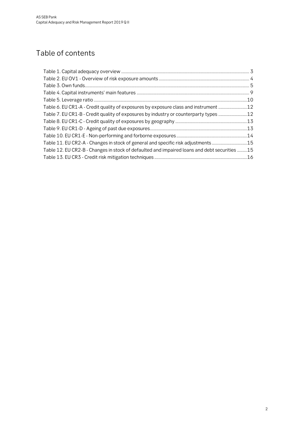# Table of contents

| Table 7. EU CR1-B - Credit quality of exposures by industry or counterparty types 12         |  |
|----------------------------------------------------------------------------------------------|--|
|                                                                                              |  |
|                                                                                              |  |
|                                                                                              |  |
| Table 11. EU CR2-A - Changes in stock of general and specific risk adjustments15             |  |
| Table 12. EU CR2-B - Changes in stock of defaulted and impaired loans and debt securities 15 |  |
|                                                                                              |  |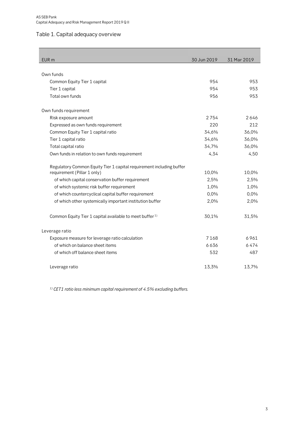# <span id="page-2-0"></span>Table 1. Capital adequacy overview

| EUR <sub>m</sub>                                                     | 30 Jun 2019 | 31 Mar 2019 |
|----------------------------------------------------------------------|-------------|-------------|
|                                                                      |             |             |
| Own funds                                                            |             |             |
| Common Equity Tier 1 capital                                         | 954         | 953         |
| Tier 1 capital                                                       | 954         | 953         |
| Total own funds                                                      | 956         | 953         |
| Own funds requirement                                                |             |             |
| Risk exposure amount                                                 | 2754        | 2646        |
| Expressed as own funds requirement                                   | 220         | 212         |
| Common Equity Tier 1 capital ratio                                   | 34,6%       | 36,0%       |
| Tier 1 capital ratio                                                 | 34,6%       | 36,0%       |
| Total capital ratio                                                  | 34,7%       | 36,0%       |
| Own funds in relation to own funds requirement                       | 4,34        | 4,50        |
| Regulatory Common Equity Tier 1 capital requirement including buffer |             |             |
| requirement (Pillar 1 only)                                          | 10,0%       | 10,0%       |
| of which capital conservation buffer requirement                     | 2,5%        | 2,5%        |
| of which systemic risk buffer requirement                            | 1,0%        | 1,0%        |
| of which countercyclical capital buffer requirement                  | 0,0%        | 0,0%        |
| of which other systemically important institution buffer             | 2,0%        | 2,0%        |
| Common Equity Tier 1 capital available to meet buffer <sup>1)</sup>  | 30,1%       | 31,5%       |
| Leverage ratio                                                       |             |             |
| Exposure measure for leverage ratio calculation                      | 7168        | 6961        |
| of which on balance sheet items                                      | 6636        | 6474        |
| of which off balance sheet items                                     | 532         | 487         |
| Leverage ratio                                                       | 13,3%       | 13,7%       |

*1) CET1 ratio less minimum capital requirement of 4.5% excluding buffers.*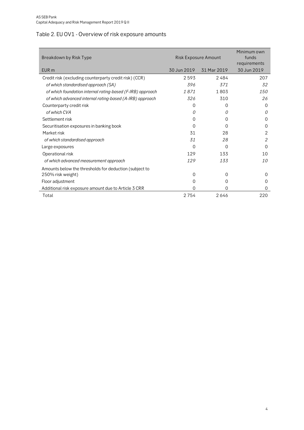# <span id="page-3-0"></span>Table 2. EU OV1 - Overview of risk exposure amounts

| Breakdown by Risk Type                                     | Risk Exposure Amount |             | Minimum own<br>funds<br>requirements |
|------------------------------------------------------------|----------------------|-------------|--------------------------------------|
| EUR <sub>m</sub>                                           | 30 Jun 2019          | 31 Mar 2019 | 30 Jun 2019                          |
| Credit risk (excluding counterparty credit risk) (CCR)     | 2593                 | 2484        | 207                                  |
| of which standardised approach (SA)                        | 396                  | 371         | 32                                   |
| of which foundation internal rating-based (F-IRB) approach | 1871                 | 1803        | 150                                  |
| of which advanced internal rating-based (A-IRB) approach   | 326                  | 310         | 26                                   |
| Counterparty credit risk                                   | 0                    | 0           | $\Omega$                             |
| of which CVA                                               | 0                    | 0           | 0                                    |
| Settlement risk                                            | 0                    | 0           | 0                                    |
| Securitisation exposures in banking book                   | 0                    | Ω           | 0                                    |
| Market risk                                                | 31                   | 28          | 2                                    |
| of which standardised approach                             | 31                   | 28          | 2                                    |
| Large exposures                                            | 0                    | 0           | 0                                    |
| Operational risk                                           | 129                  | 133         | 10                                   |
| of which advanced measurement approach                     | 129                  | 133         | 10                                   |
| Amounts below the thresholds for deduction (subject to     |                      |             |                                      |
| 250% risk weight)                                          | 0                    | $\Omega$    | $\Omega$                             |
| Floor adjustment                                           | O                    | 0           | $\Omega$                             |
| Additional risk exposure amount due to Article 3 CRR       | 0                    | 0           | 0                                    |
| Total                                                      | 2754                 | 2646        | 220                                  |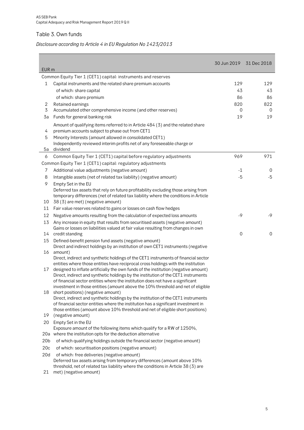# <span id="page-4-0"></span>Table 3. Own funds

# *Disclosure according to Article 4 in EU Regulation No 1423/2013*

| EUR <sub>m</sub> |                                                                                                                                                                      | 30 Jun 2019 | 31 Dec 2018 |
|------------------|----------------------------------------------------------------------------------------------------------------------------------------------------------------------|-------------|-------------|
|                  | Common Equity Tier 1 (CET1) capital: instruments and reserves                                                                                                        |             |             |
| 1                | Capital instruments and the related share premium accounts                                                                                                           | 129         | 129         |
|                  | of which: share capital                                                                                                                                              | 43          | 43          |
|                  | of which: share premium                                                                                                                                              | 86          | 86          |
| 2                | Retained earnings                                                                                                                                                    | 820         | 822         |
| $\overline{3}$   | Accumulated other comprehensive income (and other reserves)                                                                                                          | 0           | 0           |
| 3a               | Funds for general banking risk                                                                                                                                       | 19          | 19          |
|                  |                                                                                                                                                                      |             |             |
| 4                | Amount of qualifying items referred to in Article 484 (3) and the related share<br>premium accounts subject to phase out from CET1                                   |             |             |
| 5                | Minority Interests (amount allowed in consolidated CET1)                                                                                                             |             |             |
|                  | Independently reviewed interim profits net of any foreseeable charge or                                                                                              |             |             |
| 5a               | dividend                                                                                                                                                             |             |             |
| 6                | Common Equity Tier 1 (CET1) capital before regulatory adjustments                                                                                                    | 969         | 971         |
|                  | Common Equity Tier 1 (CET1) capital: regulatory adjustments                                                                                                          |             |             |
| 7                | Additional value adjustments (negative amount)                                                                                                                       | -1          | 0           |
| 8                | Intangible assets (net of related tax liability) (negative amount)                                                                                                   | $-5$        | $-5$        |
| 9                | Empty Set in the EU                                                                                                                                                  |             |             |
|                  | Deferred tax assets that rely on future profitability excluding those arising from                                                                                   |             |             |
| 10               | temporary differences (net of related tax liability where the conditions in Article<br>38 (3) are met) (negative amount)                                             |             |             |
| 11               |                                                                                                                                                                      |             |             |
|                  | Fair value reserves related to gains or losses on cash flow hedges                                                                                                   | $-9$        | -9          |
| 12               | Negative amounts resulting from the calculation of expected loss amounts                                                                                             |             |             |
| 13               | Any increase in equity that results from securitised assets (negative amount)<br>Gains or losses on liabilities valued at fair value resulting from changes in own   |             |             |
| 14               | credit standing                                                                                                                                                      | $\mathbf 0$ | $\mathbf 0$ |
| 15               | Defined-benefit pension fund assets (negative amount)                                                                                                                |             |             |
|                  | Direct and indirect holdings by an institution of own CET1 instruments (negative                                                                                     |             |             |
| 16               | amount)                                                                                                                                                              |             |             |
|                  | Direct, indirect and synthetic holdings of the CET1 instruments of financial sector                                                                                  |             |             |
|                  | entities where those entities have reciprocal cross holdings with the institution                                                                                    |             |             |
| 17               | designed to inflate artificially the own funds of the institution (negative amount)                                                                                  |             |             |
|                  | Direct, indirect and synthetic holdings by the institution of the CET1 instruments<br>of financial sector entities where the institution does not have a significant |             |             |
|                  | investment in those entities (amount above the 10% threshold and net of eligible                                                                                     |             |             |
| 18               | short positions) (negative amount)                                                                                                                                   |             |             |
|                  | Direct, indirect and synthetic holdings by the institution of the CET1 instruments                                                                                   |             |             |
|                  | of financial sector entities where the institution has a significant investment in                                                                                   |             |             |
|                  | those entities (amount above 10% threshold and net of eligible short positions)                                                                                      |             |             |
| 19               | (negative amount)                                                                                                                                                    |             |             |
| 20               | Empty Set in the EU                                                                                                                                                  |             |             |
|                  | Exposure amount of the following items which qualify for a RW of 1250%,                                                                                              |             |             |
|                  | 20a where the institution opts for the deduction alternative                                                                                                         |             |             |
| 20 <sub>b</sub>  | of which qualifying holdings outside the financial sector (negative amount)                                                                                          |             |             |
| 20c              | of which: securitisation positions (negative amount)                                                                                                                 |             |             |
| 20d              | of which: free deliveries (negative amount)                                                                                                                          |             |             |
|                  | Deferred tax assets arising from temporary differences (amount above 10%<br>threshold, net of related tax liability where the conditions in Article 38 (3) are       |             |             |
| 21               | met) (negative amount)                                                                                                                                               |             |             |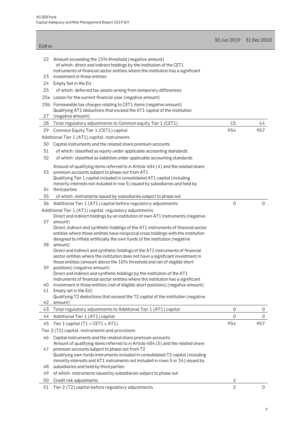|                  |                                                                                                                                                                                                                                                                                                | 30 Jun 2019 31 Dec 2018 |                     |
|------------------|------------------------------------------------------------------------------------------------------------------------------------------------------------------------------------------------------------------------------------------------------------------------------------------------|-------------------------|---------------------|
| EUR <sub>m</sub> |                                                                                                                                                                                                                                                                                                |                         |                     |
|                  | 22 Amount exceeding the 15% threshold (negative amount)<br>of which: direct and indirect holdings by the institution of the CET1<br>instruments of financial sector entities where the institution has a significant                                                                           |                         |                     |
| 23               | investment in those entities                                                                                                                                                                                                                                                                   |                         |                     |
| 24               | Empty Set in the EU                                                                                                                                                                                                                                                                            |                         |                     |
| 25               | of which: deferred tax assets arising from temporary differences                                                                                                                                                                                                                               |                         |                     |
|                  | 25a Losses for the current financial year (negative amount)                                                                                                                                                                                                                                    |                         |                     |
|                  | 25b Foreseeable tax charges relating to CET1 items (negative amount)                                                                                                                                                                                                                           |                         |                     |
|                  | Qualifying AT1 deductions that exceed the AT1 capital of the institution                                                                                                                                                                                                                       |                         |                     |
| 27               | (negative amount)                                                                                                                                                                                                                                                                              |                         |                     |
| 28               | Total regulatory adjustments to Common equity Tier 1 (CET1)                                                                                                                                                                                                                                    | $-15$                   | $-14$               |
| 29               | Common Equity Tier 1 (CET1) capital                                                                                                                                                                                                                                                            | 954                     | 957                 |
|                  | Additional Tier 1 (AT1) capital: instruments                                                                                                                                                                                                                                                   |                         |                     |
| 30               | Capital instruments and the related share premium accounts                                                                                                                                                                                                                                     |                         |                     |
| 31               | of which: classified as equity under applicable accounting standards                                                                                                                                                                                                                           |                         |                     |
| 32               | of which: classified as liabilities under applicable accounting standards                                                                                                                                                                                                                      |                         |                     |
| 33               | Amount of qualifying items referred to in Article 484 (4) and the related share<br>premium accounts subject to phase out from AT1<br>Qualifying Tier 1 capital included in consolidated AT1 capital (including<br>minority interests not included in row 5) issued by subsidiaries and held by |                         |                     |
| 34               | third parties                                                                                                                                                                                                                                                                                  |                         |                     |
| 35               | of which: instruments issued by subsidiaries subject to phase out                                                                                                                                                                                                                              |                         |                     |
| 36               | Additional Tier 1 (AT1) capital before regulatory adjustments                                                                                                                                                                                                                                  | $\overline{0}$          | $\overline{0}$      |
|                  | Additional Tier 1 (AT1) capital: regulatory adjustments<br>Direct and indirect holdings by an institution of own AT1 Instruments (negative                                                                                                                                                     |                         |                     |
| 37               | amount)                                                                                                                                                                                                                                                                                        |                         |                     |
| 38               | Direct, indirect and synthetic holdings of the AT1 instruments of financial sector<br>entities where those entities have reciprocal cross holdings with the institution<br>designed to inflate artificially the own funds of the institution (negative<br>amount)                              |                         |                     |
|                  | Direct and indirect and synthetic holdings of the AT1 instruments of financial<br>sector entities where the institution does not have a significant investment in<br>those entities (amount above the 10% threshold and net of eligible short                                                  |                         |                     |
| 39               | positions) (negative amount)<br>Direct and indirect and synthetic holdings by the institution of the AT1<br>instruments of financial sector entities where the institution has a significant                                                                                                   |                         |                     |
| 40               | investment in those entities (net of eligible short positions) (negative amount)                                                                                                                                                                                                               |                         |                     |
| 41               | Empty set in the EU)                                                                                                                                                                                                                                                                           |                         |                     |
|                  | Qualifying T2 deductions that exceed the T2 capital of the institution (negative                                                                                                                                                                                                               |                         |                     |
| 42               | amount)                                                                                                                                                                                                                                                                                        |                         |                     |
| 43               | Total regulatory adjustments to Additional Tier 1 (AT1) capital                                                                                                                                                                                                                                | $\boldsymbol{0}$        | 0                   |
| 44               | Additional Tier 1 (AT1) capital                                                                                                                                                                                                                                                                | $\mathbf 0$             | $\mathsf{O}\xspace$ |
| 45               | Tier 1 capital ( $T1 = CET1 + AT1$ )                                                                                                                                                                                                                                                           | 954                     | 957                 |
|                  | Tier 2 (T2) capital: instruments and provisions                                                                                                                                                                                                                                                |                         |                     |
| 46<br>47         | Capital instruments and the related share premium accounts<br>Amount of qualifying items referred to in Article 484 (5) and the related share<br>premium accounts subject to phase out from T2                                                                                                 |                         |                     |
| 48               | Qualifying own funds instruments included in consolidated T2 capital (including<br>minority interests and AT1 instruments not included in rows 5 or 34) issued by<br>subsidiaries and held by third parties                                                                                    |                         |                     |
| 49               | of which: instruments issued by subsidiaries subject to phase out                                                                                                                                                                                                                              |                         |                     |
| 50               | Credit risk adjustments                                                                                                                                                                                                                                                                        | 2                       |                     |
| 51               | Tier 2 (T2) capital before regulatory adjustments                                                                                                                                                                                                                                              | $\overline{2}$          | 0                   |
|                  |                                                                                                                                                                                                                                                                                                |                         |                     |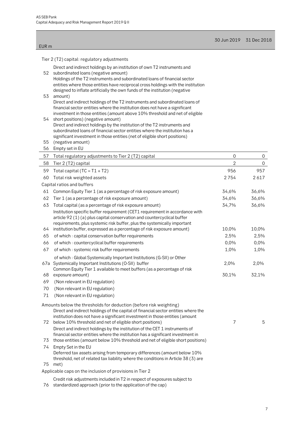| 30 Jun 2019 | 31 Dec 2018 |
|-------------|-------------|
|-------------|-------------|

|  |  |  |  | Tier 2 (T2) capital: regulatory adjustments |
|--|--|--|--|---------------------------------------------|
|--|--|--|--|---------------------------------------------|

EUR m

| $1001$ $\leq$ $(12)$ capital Texaliator y adjactments                                                                                                                                                                                       |                |             |
|---------------------------------------------------------------------------------------------------------------------------------------------------------------------------------------------------------------------------------------------|----------------|-------------|
| Direct and indirect holdings by an institution of own T2 instruments and<br>52<br>subordinated loans (negative amount)<br>Holdings of the T2 instruments and subordinated loans of financial sector                                         |                |             |
| entities where those entities have reciprocal cross holdings with the institution<br>designed to inflate artificially the own funds of the institution (negative<br>53<br>amount)                                                           |                |             |
| Direct and indirect holdings of the T2 instruments and subordinated loans of<br>financial sector entities where the institution does not have a significant<br>investment in those entities (amount above 10% threshold and net of eligible |                |             |
| short positions) (negative amount)<br>54<br>Direct and indirect holdings by the institution of the T2 instruments and<br>subordinated loans of financial sector entities where the institution has a                                        |                |             |
| significant investment in those entities (net of eligible short positions)                                                                                                                                                                  |                |             |
| 55<br>(negative amount)                                                                                                                                                                                                                     |                |             |
| Empty set in EU<br>56                                                                                                                                                                                                                       |                |             |
| Total regulatory adjustments to Tier 2 (T2) capital<br>57                                                                                                                                                                                   | 0              | 0           |
| 58<br>Tier 2 (T2) capital                                                                                                                                                                                                                   | $\overline{2}$ | $\mathbf 0$ |
| 59<br>Total capital ( $TC = T1 + T2$ )                                                                                                                                                                                                      | 956            | 957         |
| 60<br>Total risk weighted assets<br>Capital ratios and buffers                                                                                                                                                                              | 2754           | 2617        |
| 61<br>Common Equity Tier 1 (as a percentage of risk exposure amount)                                                                                                                                                                        | 34,6%          | 36,6%       |
| 62<br>Tier 1 (as a percentage of risk exposure amount)                                                                                                                                                                                      | 34,6%          | 36,6%       |
| 63<br>Total capital (as a percentage of risk exposure amount)                                                                                                                                                                               | 34,7%          | 36,6%       |
| Institution specific buffer requirement (CET1 requirement in accordance with<br>article 92 (1) (a) plus capital conservation and countercyclical buffer<br>requirements, plus systemic risk buffer, plus the systemically important         |                |             |
| 64<br>institution buffer, expressed as a percentage of risk exposure amount)                                                                                                                                                                | 10,0%          | 10,0%       |
| 65<br>of which: capital conservation buffer requirements                                                                                                                                                                                    | 2,5%           | 2,5%        |
| 66<br>of which: countercyclical buffer requirements                                                                                                                                                                                         | 0,0%           | 0,0%        |
| 67<br>of which : systemic risk buffer requirements                                                                                                                                                                                          | 1,0%           | 1,0%        |
| of which: Global Systemically Important Institutions (G-SII) or Other<br>67a Systemically Important Institutions (O-SII) buffer<br>Common Equity Tier 1 available to meet buffers (as a percentage of risk                                  | 2,0%           | 2,0%        |
| exposure amount)<br>68                                                                                                                                                                                                                      | 30,1%          | 32,1%       |
| 69<br>(Non relevant in EU regulation)                                                                                                                                                                                                       |                |             |
| (Non relevant in EU regulation)<br>70                                                                                                                                                                                                       |                |             |
| (Non relevant in EU regulation)<br>71                                                                                                                                                                                                       |                |             |
| Amounts below the thresholds for deduction (before risk weighting)<br>Direct and indirect holdings of the capital of financial sector entities where the                                                                                    |                |             |
| institution does not have a significant investment in those entities (amount<br>below 10% threshold and net of eligible short positions)<br>72<br>Direct and indirect holdings by the institution of the CET 1 instruments of               | 7              | 5           |
| financial sector entities where the institution has a significant investment in                                                                                                                                                             |                |             |
| those entities (amount below 10% threshold and net of eligible short positions)<br>73                                                                                                                                                       |                |             |
| 74<br>Empty Set in the EU<br>Deferred tax assets arising from temporary differences (amount below 10%                                                                                                                                       |                |             |
| threshold, net of related tax liability where the conditions in Article 38 (3) are                                                                                                                                                          |                |             |
| 75<br>met)<br>Applicable caps on the inclusion of provisions in Tier 2                                                                                                                                                                      |                |             |
|                                                                                                                                                                                                                                             |                |             |

Credit risk adjustments included in T2 in respect of exposures subject to

76 standardized approach (prior to the application of the cap)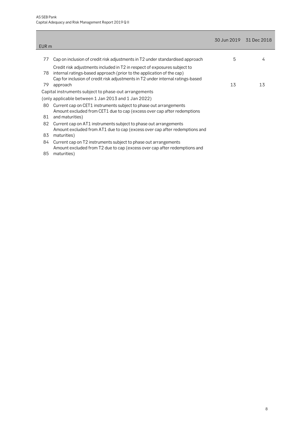| EUR <sub>m</sub> |                                                                                                                                                                                                                                                   |    | 30 Jun 2019 31 Dec 2018 |
|------------------|---------------------------------------------------------------------------------------------------------------------------------------------------------------------------------------------------------------------------------------------------|----|-------------------------|
|                  |                                                                                                                                                                                                                                                   |    |                         |
| 77               | Cap on inclusion of credit risk adjustments in T2 under standardised approach                                                                                                                                                                     | 5  | 4                       |
| 78<br>79         | Credit risk adjustments included in T2 in respect of exposures subject to<br>internal ratings-based approach (prior to the application of the cap)<br>Cap for inclusion of credit risk adjustments in T2 under internal ratings-based<br>approach | 13 | 13                      |
|                  | Capital instruments subject to phase-out arrangements                                                                                                                                                                                             |    |                         |
|                  | (only applicable between 1 Jan 2013 and 1 Jan 2022)                                                                                                                                                                                               |    |                         |
| 80               | Current cap on CET1 instruments subject to phase out arrangements<br>Amount excluded from CET1 due to cap (excess over cap after redemptions                                                                                                      |    |                         |
| 81               | and maturities)                                                                                                                                                                                                                                   |    |                         |
| 82               | Current cap on AT1 instruments subject to phase out arrangements<br>Amount excluded from AT1 due to cap (excess over cap after redemptions and                                                                                                    |    |                         |
| 83               | maturities)                                                                                                                                                                                                                                       |    |                         |
| 84               | Current cap on T2 instruments subject to phase out arrangements<br>Amount excluded from T2 due to cap (excess over cap after redemptions and                                                                                                      |    |                         |
| 85               | maturities)                                                                                                                                                                                                                                       |    |                         |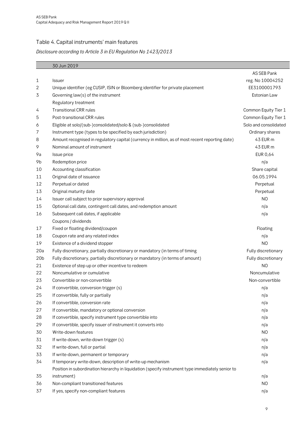#### <span id="page-8-0"></span>Table 4. Capital instruments' main features

#### *Disclosure according to Article 3 in EU Regulation No 1423/2013*

|                 | 30 Jun 2019                                                                                       |                       |
|-----------------|---------------------------------------------------------------------------------------------------|-----------------------|
|                 |                                                                                                   | AS SEB Pank           |
| 1               | <b>Issuer</b>                                                                                     | reg. No 10004252      |
| 2               | Unique identifier (eg CUSIP, ISIN or Bloomberg identifier for private placement                   | EE3100001793          |
| 3               | Governing law(s) of the instrument                                                                | Estonian Law          |
|                 | Regulatory treatment                                                                              |                       |
| 4               | <b>Transitional CRR rules</b>                                                                     | Common Equity Tier 1  |
| 5               | Post-transitional CRR rules                                                                       | Common Equity Tier 1  |
| 6               | Eligible at solo/(sub-)consolidated/solo & (sub-)consolidated                                     | Solo and consolidated |
| 7               | Instrument type (types to be specified by each jurisdiction)                                      | Ordinary shares       |
| 8               | Amount recognised in regulatory capital (currency in million, as of most recent reporting date)   | 43 EUR m              |
| 9               | Nominal amount of instrument                                                                      | 43 EUR m              |
| 9a              | Issue price                                                                                       | <b>EUR 0,64</b>       |
| 9b              | Redemption price                                                                                  | n/a                   |
| 10              | Accounting classification                                                                         | Share capital         |
| 11              | Original date of issuance                                                                         | 06.05.1994            |
| 12              | Perpetual or dated                                                                                | Perpetual             |
| 13              | Original maturity date                                                                            | Perpetual             |
| 14              | Issuer call subject to prior supervisory approval                                                 | N <sub>O</sub>        |
| 15              | Optional call date, contingent call dates, and redemption amount                                  | n/a                   |
| 16              | Subsequent call dates, if applicable                                                              | n/a                   |
|                 | Coupons / dividends                                                                               |                       |
| 17              | Fixed or floating dividend/coupon                                                                 | Floating              |
| 18              | Coupon rate and any related index                                                                 | n/a                   |
| 19              | Existence of a dividend stopper                                                                   | N <sub>O</sub>        |
| 20a             | Fully discretionary, partially discretionary or mandatory (in terms of timing                     | Fully discretionary   |
| 20 <sub>b</sub> | Fully discretionary, partially discretionary or mandatory (in terms of amount)                    | Fully discretionary   |
| 21              | Existence of step up or other incentive to redeem                                                 | N <sub>O</sub>        |
| 22              | Noncumulative or cumulative                                                                       | Noncumulative         |
| 23              | Convertible or non-convertible                                                                    | Non-convertible       |
| 24              | If convertible, conversion trigger (s)                                                            | n/a                   |
| 25              | If convertible, fully or partially                                                                | n/a                   |
| 26              | If convertible, conversion rate                                                                   | n/a                   |
| 27              | If convertible, mandatory or optional conversion                                                  | n/a                   |
| 28              | If convertible, specify instrument type convertible into                                          | n/a                   |
| 29              | If convertible, specify issuer of instrument it converts into                                     | n/a                   |
| 30              | Write-down features                                                                               | NO                    |
| 31              | If write-down, write-down trigger (s)                                                             | n/a                   |
| 32              | If write-down, full or partial                                                                    | n/a                   |
| 33              | If write-down, permanent or temporary                                                             | n/a                   |
| 34              | If temporary write-down, description of write-up mechanism                                        | n/a                   |
|                 | Position in subordination hierarchy in liquidation (specify instrument type immediately senior to |                       |
| 35              | instrument)                                                                                       | n/a                   |
| 36              | Non-compliant transitioned features                                                               | N <sub>O</sub>        |
| 37              | If yes, specify non-compliant features                                                            | n/a                   |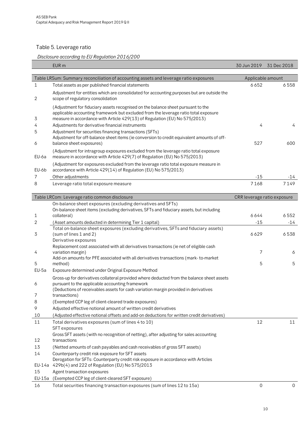# <span id="page-9-0"></span>Table 5. Leverage ratio

Г

# *Disclosure according to EU Regulation 2016/200*

|          | EUR m                                                                                                                                                             | 30 Jun 2019                 | 31 Dec 2018 |
|----------|-------------------------------------------------------------------------------------------------------------------------------------------------------------------|-----------------------------|-------------|
|          | Table LRSum: Summary reconciliation of accounting assets and leverage ratio exposures                                                                             | Applicable amount           |             |
| 1        | Total assets as per published financial statements                                                                                                                | 6652                        | 6558        |
|          | Adjustment for entities which are consolidated for accounting purposes but are outside the                                                                        |                             |             |
| 2        | scope of regulatory consolidation                                                                                                                                 |                             |             |
|          | (Adjustment for fiduciary assets recognised on the balance sheet pursuant to the                                                                                  |                             |             |
|          | applicable accounting framework but excluded from the leverage ratio total exposure                                                                               |                             |             |
| 3<br>4   | measure in accordance with Article 429(13) of Regulation (EU) No 575/2013)<br>Adjustments for derivative financial instruments                                    | 4                           | 4           |
| 5        | Adjustment for securities financing transactions (SFTs)                                                                                                           |                             |             |
|          | Adjustment for off-balance sheet items (ie conversion to credit equivalent amounts of off-                                                                        |                             |             |
| 6        | balance sheet exposures)                                                                                                                                          | 527                         | 600         |
| EU-6a    | (Adjustment for intragroup exposures excluded from the leverage ratio total exposure<br>measure in accordance with Article 429(7) of Regulation (EU) No 575/2013) |                             |             |
| EU-6b    | (Adjustment for exposures excluded from the leverage ratio total exposure measure in<br>accordance with Article 429(14) of Regulation (EU) No 575/2013)           |                             |             |
| 7        | Other adjustments                                                                                                                                                 | $-15$                       | -14         |
| 8        | Leverage ratio total exposure measure                                                                                                                             | 7168                        | 7149        |
|          |                                                                                                                                                                   |                             |             |
|          | Table LRCom: Leverage ratio common disclosure                                                                                                                     | CRR leverage ratio exposure |             |
|          | On-balance sheet exposures (excluding derivatives and SFTs)                                                                                                       |                             |             |
| 1        | On-balance sheet items (excluding derivatives, SFTs and fiduciary assets, but including<br>collateral)                                                            | 6644                        | 6552        |
| 2        | (Asset amounts deducted in determining Tier 1 capital)                                                                                                            | $-15$                       | $-14$       |
|          | Total on-balance sheet exposures (excluding derivatives, SFTs and fiduciary assets)                                                                               |                             |             |
| 3        | (sum of lines 1 and 2)                                                                                                                                            | 6629                        | 6538        |
|          | Derivative exposures<br>Replacement cost associated with all derivatives transactions (ie net of eligible cash                                                    |                             |             |
| 4        | variation margin)                                                                                                                                                 | 7                           | 6           |
|          | Add-on amounts for PFE associated with all derivatives transactions (mark-to-market                                                                               |                             |             |
| 5        | method)                                                                                                                                                           | 5                           | 5           |
| EU-5a    | Exposure determined under Original Exposure Method                                                                                                                |                             |             |
| 6        | Gross-up for derivatives collateral provided where deducted from the balance sheet assets<br>pursuant to the applicable accounting framework                      |                             |             |
|          | (Deductions of receivables assets for cash variation margin provided in derivatives                                                                               |                             |             |
| 7        | transactions)                                                                                                                                                     |                             |             |
| 8        | (Exempted CCP leg of client-cleared trade exposures)                                                                                                              |                             |             |
| 9        | Adjusted effective notional amount of written credit derivatives                                                                                                  |                             |             |
| 10<br>11 | (Adjusted effective notional offsets and add-on deductions for written credit derivatives)<br>Total derivatives exposures (sum of lines 4 to 10)                  | 12                          | 11          |
|          | SFT exposures                                                                                                                                                     |                             |             |
|          | Gross SFT assets (with no recognition of netting), after adjusting for sales accounting                                                                           |                             |             |
| 12       | transactions                                                                                                                                                      |                             |             |
| 13       | (Netted amounts of cash payables and cash receivables of gross SFT assets)                                                                                        |                             |             |
| 14       | Counterparty credit risk exposure for SFT assets<br>Derogation for SFTs: Counterparty credit risk exposure in accordance with Articles                            |                             |             |
| EU-14a   | 429b(4) and 222 of Regulation (EU) No 575/2013                                                                                                                    |                             |             |
| 15       | Agent transaction exposures                                                                                                                                       |                             |             |
| EU-15a   | (Exempted CCP leg of client-cleared SFT exposure)                                                                                                                 |                             |             |
| 16       | Total securities financing transaction exposures (sum of lines 12 to 15a)                                                                                         | $\mathbf 0$                 | 0           |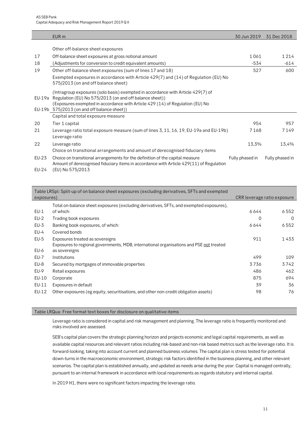|                | EUR <sub>m</sub>                                                                                                                                                                                                                                                            | 30 Jun 2019     | 31 Dec 2018     |
|----------------|-----------------------------------------------------------------------------------------------------------------------------------------------------------------------------------------------------------------------------------------------------------------------------|-----------------|-----------------|
|                |                                                                                                                                                                                                                                                                             |                 |                 |
|                | Other off-balance sheet exposures                                                                                                                                                                                                                                           |                 |                 |
| 17             | Off-balance sheet exposures at gross notional amount                                                                                                                                                                                                                        | 1061            | 1 2 1 4         |
| 18             | (Adjustments for conversion to credit equivalent amounts)                                                                                                                                                                                                                   | -534            | -614            |
| 19             | Other off-balance sheet exposures (sum of lines 17 and 18)                                                                                                                                                                                                                  | 527             | 600             |
|                | Exempted exposures in accordance with Article 429(7) and (14) of Regulation (EU) No<br>575/2013 (on and off balance sheet)                                                                                                                                                  |                 |                 |
| EU-19a         | (Intragroup exposures (solo basis) exempted in accordance with Article 429(7) of<br>Regulation (EU) No 575/2013 (on and off balance sheet))<br>(Exposures exempted in accordance with Article 429 (14) of Regulation (EU) No<br>EU-19b 575/2013 (on and off balance sheet)) |                 |                 |
|                | Capital and total exposure measure                                                                                                                                                                                                                                          |                 |                 |
| 20             | Tier 1 capital                                                                                                                                                                                                                                                              | 954             | 957             |
| 21             | Leverage ratio total exposure measure (sum of lines 3, 11, 16, 19, EU-19a and EU-19b)<br>Leverage ratio                                                                                                                                                                     | 7168            | 7149            |
| 22             | Leverage ratio<br>Choice on transitional arrangements and amount of derecognised fiduciary items                                                                                                                                                                            | 13,3%           | 13,4%           |
| EU-23<br>EU-24 | Choice on transitional arrangements for the definition of the capital measure<br>Amount of derecognised fiduciary items in accordance with Article 429(11) of Regulation<br>(EU) No 575/2013                                                                                | Fully phased in | Fully phased in |
|                |                                                                                                                                                                                                                                                                             |                 |                 |

|            | Table LRSpl: Split-up of on balance sheet exposures (excluding derivatives, SFTs and exempted |                             |          |
|------------|-----------------------------------------------------------------------------------------------|-----------------------------|----------|
| exposures) |                                                                                               | CRR leverage ratio exposure |          |
|            | Total on-balance sheet exposures (excluding derivatives, SFTs, and exempted exposures),       |                             |          |
| $EU-1$     | of which:                                                                                     | 6644                        | 6552     |
| $EU-2$     | Trading book exposures                                                                        | 0                           | $\Omega$ |
| $EU-3$     | Banking book exposures, of which:                                                             | 6644                        | 6552     |
| $EU-4$     | Covered bonds                                                                                 |                             |          |
| $EU-5$     | Exposures treated as sovereigns                                                               | 911                         | 1433     |
|            | Exposures to regional governments, MDB, international organisations and PSE not treated       |                             |          |
| EU-6       | as sovereigns                                                                                 |                             |          |
| $EU-7$     | Institutions                                                                                  | 499                         | 109      |
| EU-8       | Secured by mortgages of immovable properties                                                  | 3736                        | 3742     |
| EU-9       | Retail exposures                                                                              | 486                         | 462      |
| EU-10      | Corporate                                                                                     | 875                         | 694      |
| EU-11      | Exposures in default                                                                          | 39                          | 36.      |
| EU-12      | Other exposures (eg equity, securitisations, and other non-credit obligation assets)          | 98                          | 76       |
|            |                                                                                               |                             |          |

#### Table LRQua: Free format text boxes for disclosure on qualitative items

Leverage ratio is considered in capital and risk management and planning. The leverage ratio is frequently monitored and risks involved are assessed.

SEB's capital plan covers the strategic planning horizon and projects economic and legal capital requirements, as well as available capital resources and relevant ratios including risk-based and non-risk based metrics such as the leverage ratio. It is forward-looking, taking into account current and planned business volumes. The capital plan is stress tested for potential down-turns in the macroeconomic environment, strategic risk factors identified in the business planning, and other relevant scenarios. The capital plan is established annually, and updated as needs arise during the year. Capital is managed centrally, pursuant to an internal framework in accordance with local requirements as regards statutory and internal capital.

In 2019 H1, there were no significant factors impacting the leverage ratio.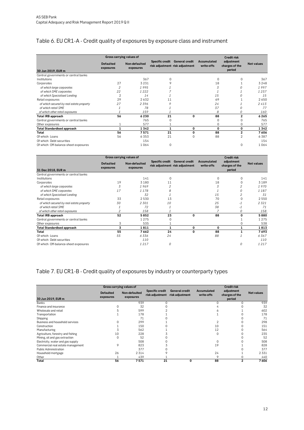# <span id="page-11-0"></span>Table 6. EU CR1-A - Credit quality of exposures by exposure class and instrument

|                                          | Gross carrying values of      |                            |                 |                                                          |                           | <b>Credit risk</b>                     |                   |
|------------------------------------------|-------------------------------|----------------------------|-----------------|----------------------------------------------------------|---------------------------|----------------------------------------|-------------------|
| 30 Jun 2019, EUR m                       | <b>Defaulted</b><br>exposures | Non-defaulted<br>exposures | Specific credit | <b>General credit</b><br>risk adjustment risk adjustment | Accumulated<br>write-offs | adjustment<br>charges of the<br>period | <b>Net values</b> |
| Central governments or central banks     |                               |                            |                 |                                                          |                           |                                        |                   |
| Institutions                             |                               | 367                        | $\Omega$        |                                                          | $\Omega$                  | $\Omega$                               | 367               |
| Corporates                               | 27                            | 3231                       | 9               |                                                          | 18                        |                                        | 3248              |
| of which large corporates                | $\overline{2}$                | 1995                       |                 |                                                          | 3                         | 0                                      | 1997              |
| of which SME corporates                  | 22                            | 1222                       |                 |                                                          |                           |                                        | 1237              |
| of which Specialised Lending             | 2                             | 14                         |                 |                                                          | 15                        | Ω                                      | 15                |
| Retail exposures                         | 29                            | 2632                       | 11              |                                                          | 69                        |                                        | 2650              |
| of which secured by real estate property | 27                            | 2396                       | o               |                                                          | 24                        |                                        | 2413              |
| of which retail SME                      |                               | 78                         |                 |                                                          | 37                        | 0                                      | 77                |
| of which other retail exposures          |                               | 159                        |                 |                                                          | 8                         | 0                                      | 160               |
| <b>Total IRB approach</b>                | 56                            | 6230                       | 21              | $\mathbf 0$                                              | 88                        | $\overline{2}$                         | 6265              |
| Central governments or central banks     |                               | 765                        |                 |                                                          | $\Omega$                  | $\Omega$                               | 765               |
| Other exposures                          |                               | 577                        |                 |                                                          | 0                         | $\mathbf 0$                            | 577               |
| <b>Total Standardised approach</b>       |                               | 1342                       |                 | 0                                                        | 0                         | 0                                      | 1342              |
| Total                                    | 56                            | 7571                       | 21              | $\Omega$                                                 | 88                        | $\mathbf{2}$                           | 7606              |
| Of which: Loans                          | 56                            | 6353                       | 21              | $\Omega$                                                 | 88                        | $\overline{2}$                         | 6387              |
| Of which: Debt securities                |                               | 154                        |                 |                                                          |                           |                                        | 154               |
| Of which: Off-balance-sheet exposures    |                               | 1064                       | $\Omega$        |                                                          |                           | $\Omega$                               | 1064              |

|                                          | Gross carrying values of      |                            |                 |                                                          |                           | <b>Credit risk</b>                     |                   |
|------------------------------------------|-------------------------------|----------------------------|-----------------|----------------------------------------------------------|---------------------------|----------------------------------------|-------------------|
| 31 Dec 2018, EUR m                       | <b>Defaulted</b><br>exposures | Non-defaulted<br>exposures | Specific credit | <b>General credit</b><br>risk adjustment risk adjustment | Accumulated<br>write-offs | adjustment<br>charges of the<br>period | <b>Net values</b> |
| Central governments or central banks     |                               |                            |                 |                                                          |                           |                                        |                   |
| Institutions                             |                               | 141                        | $\Omega$        |                                                          | $\Omega$                  | $\Omega$                               | 141               |
| Corporates                               | 19                            | 3180                       | 11              |                                                          | 18                        | 0                                      | 3189              |
| of which large corporates                | 3                             | 1969                       |                 |                                                          |                           | $\overline{2}$                         | 1970              |
| of which SME corporates                  | 17                            | 1178                       | 8               |                                                          |                           | $\Omega$                               | 1187              |
| of which Specialised Lending             |                               | 32                         |                 |                                                          | 15                        | $\overline{c}$                         | 31                |
| Retail exposures                         | 33                            | 2530                       | 13              |                                                          | 70                        | $\mathbf 0$                            | 2550              |
| of which secured by real estate property | 30                            | 2301                       | 10              |                                                          | 25                        | $-1$                                   | 2321              |
| of which retail SMF                      |                               | 72                         |                 |                                                          | 38                        | $-1$                                   | 71                |
| of which other retail exposures          |                               | 158                        |                 |                                                          |                           | 0                                      | 158               |
| <b>Total IRB approach</b>                | 52                            | 5852                       | 23              | 0                                                        | 88                        | 0                                      | 5880              |
| Central governments or central banks     |                               | 1275                       |                 |                                                          |                           |                                        | 1275              |
| Other exposures                          | 3                             | 535                        |                 |                                                          |                           | $\Omega$                               | 538               |
| <b>Total Standardised approach</b>       | 3                             | 1811                       |                 | 0                                                        | 0                         | 1                                      | 1813              |
| Total                                    | 55                            | 7662                       | 24              | 0                                                        | 88                        |                                        | 7693              |
| Of which: Loans                          | 55                            | 6336                       | 24              |                                                          | 88                        |                                        | 6367              |
| Of which: Debt securities                |                               | <i>110</i>                 |                 |                                                          |                           |                                        | 110               |
| Of which: Off-balance-sheet exposures    |                               | 1217                       | 0               |                                                          |                           | 0                                      | 1217              |

#### <span id="page-11-1"></span>Table 7. EU CR1-B - Credit quality of exposures by industry or counterparty types

|                                   |                               | Gross carrying values of   |                                           | <b>Credit risk</b>                |                           |                                        |                   |  |  |
|-----------------------------------|-------------------------------|----------------------------|-------------------------------------------|-----------------------------------|---------------------------|----------------------------------------|-------------------|--|--|
| 30 Jun 2019, EUR m                | <b>Defaulted</b><br>exposures | Non-defaulted<br>exposures | <b>Specific credit</b><br>risk adjustment | General credit<br>risk adjustment | Accumulated<br>write-offs | adjustment<br>charges of the<br>period | <b>Net values</b> |  |  |
| <b>Banks</b>                      |                               | 939                        |                                           |                                   |                           |                                        | 939               |  |  |
| Finance and insurance             |                               | 32                         |                                           |                                   |                           |                                        | 32                |  |  |
| Wholesale and retail              |                               | 599                        |                                           |                                   |                           |                                        | 602               |  |  |
| Transportation                    |                               | 178                        |                                           |                                   |                           |                                        | 178               |  |  |
| Shipping                          |                               | 71                         |                                           |                                   |                           |                                        | 71                |  |  |
| Business and household services   |                               | 299                        |                                           |                                   |                           |                                        | 298               |  |  |
| Construction                      |                               | 150                        |                                           |                                   | 10                        |                                        | 151               |  |  |
| Manufacturing                     |                               | 562                        |                                           |                                   | 12                        |                                        | 564               |  |  |
| Agriculture, forestry and fishing | 10                            | 228                        |                                           |                                   | $\Omega$                  |                                        | 235               |  |  |
| Mining, oil and gas extraction    | 0                             | 52                         |                                           |                                   |                           |                                        | 52                |  |  |
| Electricity, water and gas supply |                               | 508                        |                                           |                                   |                           |                                        | 508               |  |  |
| Commercial real estate management | 9                             | 823                        |                                           |                                   | 19                        |                                        | 828               |  |  |
| <b>Public Administration</b>      |                               | 377                        |                                           |                                   |                           |                                        | 377               |  |  |
| Household mortgage                | 26                            | 2314                       |                                           |                                   | 24                        |                                        | 2331              |  |  |
| Other                             |                               | 439                        |                                           |                                   | $\circ$                   |                                        | 440               |  |  |
| Total                             | 56                            | 7571                       | 21                                        | 0                                 | 88                        | 2                                      | 7606              |  |  |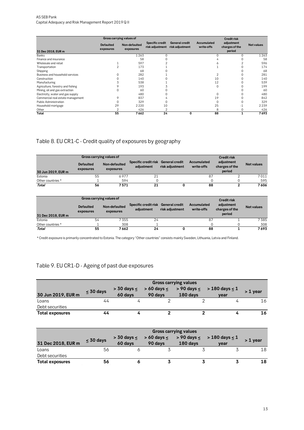#### AS SEB Pank Capital Adequacy and Risk Management Report 2019 Q II

|                                   |                               | Gross carrying values of   |                 |                                                   |                           | <b>Credit risk</b>                     |                   |
|-----------------------------------|-------------------------------|----------------------------|-----------------|---------------------------------------------------|---------------------------|----------------------------------------|-------------------|
| 31 Dec 2018, EUR m                | <b>Defaulted</b><br>exposures | Non-defaulted<br>exposures | Specific credit | General credit<br>risk adjustment risk adjustment | Accumulated<br>write-offs | adjustment<br>charges of the<br>period | <b>Net values</b> |
| <b>Banks</b>                      |                               | 1 2 6 3                    |                 |                                                   | 0                         | 0                                      | 1263              |
| Finance and insurance             |                               | 58                         |                 |                                                   |                           |                                        | 58                |
| Wholesale and retail              |                               | 597                        |                 |                                                   |                           |                                        | 596               |
| Transportation                    | 2                             | 173                        |                 |                                                   |                           |                                        | 174               |
| Shipping                          |                               | 68                         |                 |                                                   |                           |                                        | 68                |
| Business and household services   | 0                             | 282                        |                 |                                                   | 2                         |                                        | 281               |
| Construction                      |                               | 140                        |                 |                                                   | 10                        |                                        | 140               |
| Manufacturing                     |                               | 538                        |                 |                                                   | 12                        |                                        | 539               |
| Agriculture, forestry and fishing |                               | 193                        |                 |                                                   | 0                         |                                        | 199               |
| Mining, oil and gas extraction    | 0                             | 60                         |                 |                                                   |                           |                                        | 60                |
| Electricity, water and gas supply |                               | 480                        |                 |                                                   | 0                         |                                        | 480               |
| Commercial real estate management | 9                             | 837                        |                 |                                                   | 19                        |                                        | 842               |
| <b>Public Administration</b>      | 0                             | 329                        |                 |                                                   | $\Omega$                  |                                        | 329               |
| Household mortgage                | 29                            | 2 2 2 0                    | 10              |                                                   | 25                        | $-1$                                   | 2239              |
| Other                             | 2                             | 426                        | 2               |                                                   | 8                         |                                        | 426               |
| Total                             | 55                            | 7662                       | 24              | 0                                                 | 88                        |                                        | 7693              |

# <span id="page-12-0"></span>Table 8. EU CR1-C - Credit quality of exposures by geography

|                    | Gross carrying values of      |                            |                                                   |                 |                           | <b>Credit risk</b>                     |                   |
|--------------------|-------------------------------|----------------------------|---------------------------------------------------|-----------------|---------------------------|----------------------------------------|-------------------|
| 30 Jun 2019, EUR m | <b>Defaulted</b><br>exposures | Non-defaulted<br>exposures | Specific credit risk General credit<br>adiustment | risk adjustment | Accumulated<br>write-offs | adjustment<br>charges of the<br>period | <b>Net values</b> |
| Estonia            | 55                            | 6977                       | 21                                                |                 | 87                        |                                        | 7011              |
| Other countries *  |                               | 594                        |                                                   |                 |                           |                                        | 595               |
| Total              | 56                            | 7571                       | 21                                                |                 | 88                        |                                        | 7606              |

|                    | Gross carrying values of      |                            |                                    |                                          |                           | <b>Credit risk</b>                     |                   |
|--------------------|-------------------------------|----------------------------|------------------------------------|------------------------------------------|---------------------------|----------------------------------------|-------------------|
| 31 Dec 2018, EUR m | <b>Defaulted</b><br>exposures | Non-defaulted<br>exposures | Specific credit risk<br>adiustment | <b>General credit</b><br>risk adjustment | Accumulated<br>write-offs | adjustment<br>charges of the<br>period | <b>Net values</b> |
| Estonia            | 54                            | 7 355                      | 24                                 |                                          | 87                        |                                        | 7385              |
| Other countries *  |                               | 308                        |                                    |                                          |                           |                                        | 308               |
| Total              | 55                            | 7662                       | 24                                 |                                          | 88                        |                                        | 7693              |

\* Credit exposure is primarily concentrated to Estonia. The category "Other countries" consists mainly Sweden, Lithuania, Latvia and Finland.

#### <span id="page-12-1"></span>Table 9. EU CR1-D - Ageing of past due exposures

|                        |                | <b>Gross carrying values</b> |                               |          |                                                          |            |  |  |  |  |  |
|------------------------|----------------|------------------------------|-------------------------------|----------|----------------------------------------------------------|------------|--|--|--|--|--|
| 30 Jun 2019, EUR m     | $\leq 30$ days | $>$ 30 days $\le$<br>60 days | $> 60$ days $\leq$<br>90 days | 180 days | $> 90 \text{ days} \leq 180 \text{ days} \leq 1$<br>year | $> 1$ year |  |  |  |  |  |
| Loans                  | 44             |                              |                               |          |                                                          | 16         |  |  |  |  |  |
| Debt securities        |                |                              |                               |          |                                                          |            |  |  |  |  |  |
| <b>Total exposures</b> | 44             |                              |                               |          |                                                          | 16         |  |  |  |  |  |

|                        |                | <b>Gross carrying values</b> |         |          |                                                                                        |            |  |  |  |  |  |
|------------------------|----------------|------------------------------|---------|----------|----------------------------------------------------------------------------------------|------------|--|--|--|--|--|
| 31 Dec 2018, EUR m     | $\leq 30$ days | 60 days                      | 90 days | 180 days | $>$ 30 days $\leq$ $>$ 60 days $\leq$ $>$ 90 days $\leq$ $>$ 180 days $\leq$ 1<br>vear | $> 1$ vear |  |  |  |  |  |
| Loans                  | 56             |                              |         |          |                                                                                        | 18         |  |  |  |  |  |
| Debt securities        |                |                              |         |          |                                                                                        |            |  |  |  |  |  |
| <b>Total exposures</b> | 56             |                              |         |          |                                                                                        | 18         |  |  |  |  |  |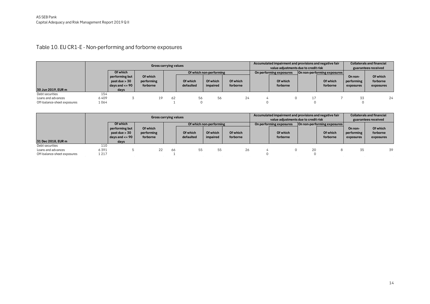# Table 10. EU CR1-E - Non-performing and forborne exposures

|                             |       |                                                                  |                                    | <b>Gross carrying values</b> |                       |                         |                      | Accumulated impairment and provisions and negative fair<br>value adiustments due to credit risk |                         |  |                             | <b>Collaterals and financial</b><br>guarantees received |                                   |
|-----------------------------|-------|------------------------------------------------------------------|------------------------------------|------------------------------|-----------------------|-------------------------|----------------------|-------------------------------------------------------------------------------------------------|-------------------------|--|-----------------------------|---------------------------------------------------------|-----------------------------------|
|                             |       | Of which                                                         |                                    |                              |                       | Of which non-performing |                      |                                                                                                 | On performing exposures |  | On non-performing exposures |                                                         |                                   |
|                             |       | performing but<br>past due > 30<br>$\vert$ days and $\vert$ = 90 | Of which<br>performing<br>forborne |                              | Of which<br>defaulted | Of which<br>impaired    | Of which<br>forborne |                                                                                                 | Of which<br>forborne    |  | Of which<br>forborne        | On non-<br>performing<br>exposures                      | Of which<br>forborne<br>exposures |
| 30 Jun 2019, EUR m          |       | days                                                             |                                    |                              |                       |                         |                      |                                                                                                 |                         |  |                             |                                                         |                                   |
| Debt securities             | 154   |                                                                  |                                    |                              |                       |                         |                      |                                                                                                 |                         |  |                             |                                                         |                                   |
| Loans and advances          | 6409  |                                                                  |                                    | 62                           | 56                    | 56                      | 24                   |                                                                                                 | $\Omega$                |  |                             | 33                                                      | 24                                |
| Off-balance-sheet exposures | 1 064 |                                                                  |                                    |                              |                       |                         |                      |                                                                                                 |                         |  |                             |                                                         |                                   |

<span id="page-13-0"></span>

|                             |      |                                                           |                                    |    | Gross carrying values |                         |                      |                         | Accumulated impairment and provisions and negative fair<br>value adjustments due to credit risk |    |                             |                                    | <b>Collaterals and financial</b><br>guarantees received |  |
|-----------------------------|------|-----------------------------------------------------------|------------------------------------|----|-----------------------|-------------------------|----------------------|-------------------------|-------------------------------------------------------------------------------------------------|----|-----------------------------|------------------------------------|---------------------------------------------------------|--|
|                             |      | Of which                                                  |                                    |    |                       | Of which non-performing |                      | On performing exposures |                                                                                                 |    | On non-performing exposures |                                    |                                                         |  |
|                             |      | performing but<br>past due $> 30$<br>days and $\leq$ = 90 | Of which<br>performing<br>forborne |    | Of which<br>defaulted | Of which<br>impaired    | Of which<br>forborne |                         | Of which<br>forborne                                                                            |    | Of which<br>forborne        | On non-<br>performing<br>exposures | Of which<br>forborne<br>exposures                       |  |
| 31 Dec 2018, EUR m          |      | days                                                      |                                    |    |                       |                         |                      |                         |                                                                                                 |    |                             |                                    |                                                         |  |
| Debt securities             | 110  |                                                           |                                    |    |                       |                         |                      |                         |                                                                                                 |    |                             |                                    |                                                         |  |
| Loans and advances          | 6391 |                                                           | 22.                                | 66 | 55                    | 55                      | 26                   |                         | 0                                                                                               | 20 |                             | 35                                 | 39                                                      |  |
| Off-balance-sheet exposures | 1217 |                                                           |                                    |    |                       |                         |                      |                         |                                                                                                 |    |                             |                                    |                                                         |  |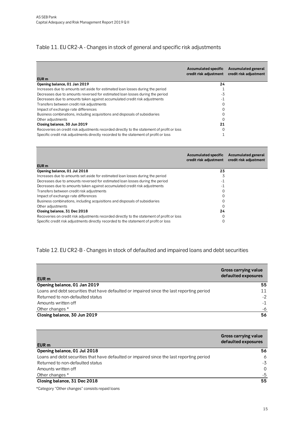#### <span id="page-14-0"></span>Table 11. EU CR2-A - Changes in stock of general and specific risk adjustments

| EUR <sub>m</sub>                                                                           | <b>Accumulated specific</b><br>credit risk adjustment | Accumulated general<br>credit risk adjustment |
|--------------------------------------------------------------------------------------------|-------------------------------------------------------|-----------------------------------------------|
| Opening balance, 01 Jan 2019                                                               | 24                                                    |                                               |
| Increases due to amounts set aside for estimated loan losses during the period             |                                                       |                                               |
| Decreases due to amounts reversed for estimated loan losses during the period              | -3                                                    |                                               |
| Decreases due to amounts taken against accumulated credit risk adjustments                 | -1                                                    |                                               |
| Transfers between credit risk adjustments                                                  | 0                                                     |                                               |
| Impact of exchange rate differences                                                        |                                                       |                                               |
| Business combinations, including acquisitions and disposals of subsidiaries                |                                                       |                                               |
| Other adjustments                                                                          | 0                                                     |                                               |
| Closing balance, 30 Jun 2019                                                               | 21                                                    |                                               |
| Recoveries on credit risk adjustments recorded directly to the statement of profit or loss | 0                                                     |                                               |
| Specific credit risk adjustments directly recorded to the statement of profit or loss      |                                                       |                                               |

| EUR <sub>m</sub>                                                                           | <b>Accumulated specific</b><br>credit risk adjustment | <b>Accumulated general</b><br>credit risk adjustment |
|--------------------------------------------------------------------------------------------|-------------------------------------------------------|------------------------------------------------------|
| Opening balance, 01 Jul 2018                                                               | 23                                                    |                                                      |
| Increases due to amounts set aside for estimated loan losses during the period             | 3                                                     |                                                      |
| Decreases due to amounts reversed for estimated loan losses during the period              | -1                                                    |                                                      |
| Decreases due to amounts taken against accumulated credit risk adjustments                 | -1                                                    |                                                      |
| Transfers between credit risk adjustments                                                  |                                                       |                                                      |
| Impact of exchange rate differences                                                        |                                                       |                                                      |
| Business combinations, including acquisitions and disposals of subsidiaries                |                                                       |                                                      |
| Other adjustments                                                                          |                                                       |                                                      |
| Closing balance, 31 Dec 2018                                                               | 24                                                    |                                                      |
| Recoveries on credit risk adjustments recorded directly to the statement of profit or loss |                                                       |                                                      |
| Specific credit risk adjustments directly recorded to the statement of profit or loss      |                                                       |                                                      |

#### <span id="page-14-1"></span>Table 12. EU CR2-B - Changes in stock of defaulted and impaired loans and debt securities

| EUR <sub>m</sub>                                                                          | <b>Gross carrying value</b><br>defaulted exposures |
|-------------------------------------------------------------------------------------------|----------------------------------------------------|
| Opening balance, 01 Jan 2019                                                              | 55                                                 |
| Loans and debt securities that have defaulted or impaired since the last reporting period | 11                                                 |
| Returned to non-defaulted status                                                          | $-2$                                               |
| Amounts written off                                                                       | $-1$                                               |
| Other changes *                                                                           | -6                                                 |
| Closing balance, 30 Jun 2019                                                              | 56                                                 |

| EUR <sub>m</sub>                                                                          | <b>Gross carrying value</b><br>defaulted exposures |
|-------------------------------------------------------------------------------------------|----------------------------------------------------|
| Opening balance, 01 Jul 2018                                                              | 56                                                 |
| Loans and debt securities that have defaulted or impaired since the last reporting period | 6                                                  |
| Returned to non-defaulted status                                                          | -3                                                 |
| Amounts written off                                                                       | $\Omega$                                           |
| Other changes *                                                                           | -5                                                 |
| Closing balance, 31 Dec 2018                                                              | 55                                                 |

\*Category "Other changes" consists repaid loans